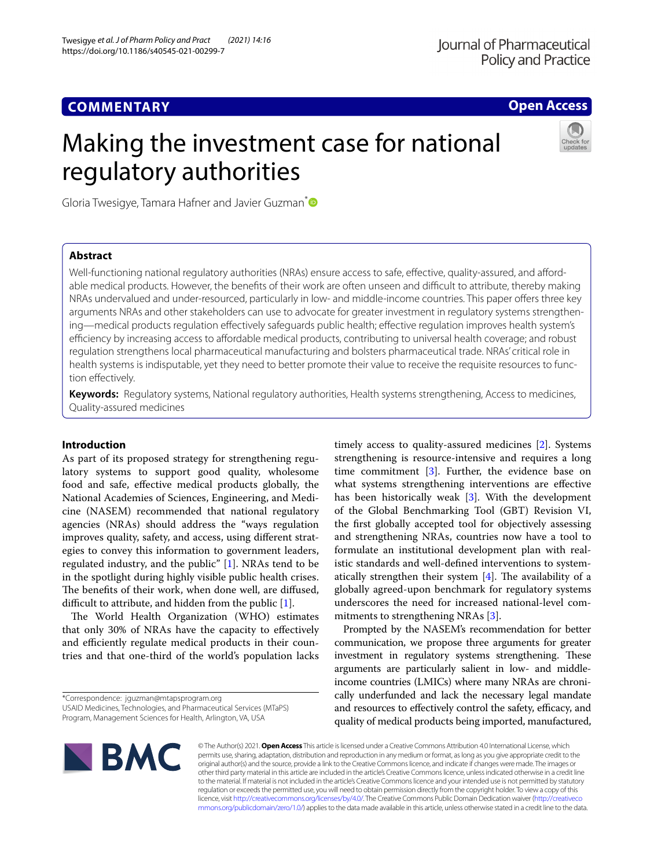# **COMMENTARY**

# **Open Access**

# Making the investment case for national regulatory authorities



Gloria Twesigye, Tamara Hafner and Javier Guzman<sup>[\\*](http://orcid.org/0000-0002-3013-0602)</sup>

# **Abstract**

Well-functioning national regulatory authorities (NRAs) ensure access to safe, effective, quality-assured, and affordable medical products. However, the benefits of their work are often unseen and difficult to attribute, thereby making NRAs undervalued and under-resourced, particularly in low- and middle-income countries. This paper ofers three key arguments NRAs and other stakeholders can use to advocate for greater investment in regulatory systems strengthening—medical products regulation efectively safeguards public health; efective regulation improves health system's efficiency by increasing access to affordable medical products, contributing to universal health coverage; and robust regulation strengthens local pharmaceutical manufacturing and bolsters pharmaceutical trade. NRAs' critical role in health systems is indisputable, yet they need to better promote their value to receive the requisite resources to function efectively.

**Keywords:** Regulatory systems, National regulatory authorities, Health systems strengthening, Access to medicines, Quality-assured medicines

## **Introduction**

As part of its proposed strategy for strengthening regulatory systems to support good quality, wholesome food and safe, efective medical products globally, the National Academies of Sciences, Engineering, and Medicine (NASEM) recommended that national regulatory agencies (NRAs) should address the "ways regulation improves quality, safety, and access, using diferent strategies to convey this information to government leaders, regulated industry, and the public" [[1\]](#page-2-0). NRAs tend to be in the spotlight during highly visible public health crises. The benefits of their work, when done well, are diffused, difficult to attribute, and hidden from the public  $[1]$  $[1]$ .

The World Health Organization (WHO) estimates that only 30% of NRAs have the capacity to efectively and efficiently regulate medical products in their countries and that one-third of the world's population lacks

\*Correspondence: jguzman@mtapsprogram.org

USAID Medicines, Technologies, and Pharmaceutical Services (MTaPS) Program, Management Sciences for Health, Arlington, VA, USA

timely access to quality-assured medicines [\[2](#page-2-1)]. Systems strengthening is resource-intensive and requires a long time commitment [[3\]](#page-2-2). Further, the evidence base on what systems strengthening interventions are efective has been historically weak [[3\]](#page-2-2). With the development of the Global Benchmarking Tool (GBT) Revision VI, the frst globally accepted tool for objectively assessing and strengthening NRAs, countries now have a tool to formulate an institutional development plan with realistic standards and well-defned interventions to systematically strengthen their system  $[4]$  $[4]$ . The availability of a globally agreed-upon benchmark for regulatory systems underscores the need for increased national-level commitments to strengthening NRAs [\[3](#page-2-2)].

Prompted by the NASEM's recommendation for better communication, we propose three arguments for greater investment in regulatory systems strengthening. These arguments are particularly salient in low- and middleincome countries (LMICs) where many NRAs are chronically underfunded and lack the necessary legal mandate and resources to effectively control the safety, efficacy, and quality of medical products being imported, manufactured,



© The Author(s) 2021. **Open Access** This article is licensed under a Creative Commons Attribution 4.0 International License, which permits use, sharing, adaptation, distribution and reproduction in any medium or format, as long as you give appropriate credit to the original author(s) and the source, provide a link to the Creative Commons licence, and indicate if changes were made. The images or other third party material in this article are included in the article's Creative Commons licence, unless indicated otherwise in a credit line to the material. If material is not included in the article's Creative Commons licence and your intended use is not permitted by statutory regulation or exceeds the permitted use, you will need to obtain permission directly from the copyright holder. To view a copy of this licence, visit [http://creativecommons.org/licenses/by/4.0/.](http://creativecommons.org/licenses/by/4.0/) The Creative Commons Public Domain Dedication waiver ([http://creativeco](http://creativecommons.org/publicdomain/zero/1.0/) [mmons.org/publicdomain/zero/1.0/](http://creativecommons.org/publicdomain/zero/1.0/)) applies to the data made available in this article, unless otherwise stated in a credit line to the data.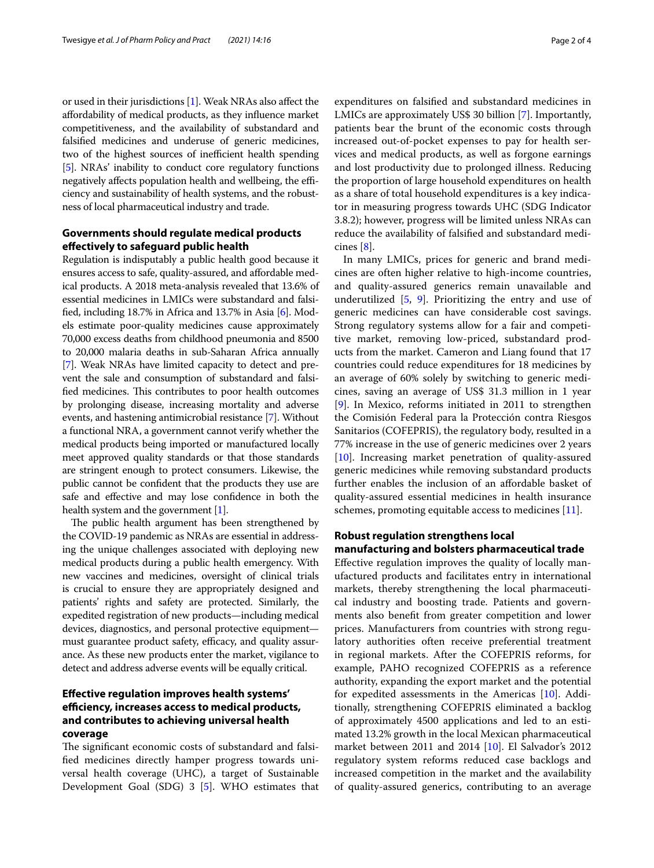or used in their jurisdictions [\[1\]](#page-2-0). Weak NRAs also afect the afordability of medical products, as they infuence market competitiveness, and the availability of substandard and falsifed medicines and underuse of generic medicines, two of the highest sources of inefficient health spending [[5\]](#page-2-4). NRAs' inability to conduct core regulatory functions negatively affects population health and wellbeing, the efficiency and sustainability of health systems, and the robustness of local pharmaceutical industry and trade.

# **Governments should regulate medical products efectively to safeguard public health**

Regulation is indisputably a public health good because it ensures access to safe, quality-assured, and afordable medical products. A 2018 meta-analysis revealed that 13.6% of essential medicines in LMICs were substandard and falsifed, including 18.7% in Africa and 13.7% in Asia [\[6](#page-2-5)]. Models estimate poor-quality medicines cause approximately 70,000 excess deaths from childhood pneumonia and 8500 to 20,000 malaria deaths in sub-Saharan Africa annually [[7\]](#page-2-6). Weak NRAs have limited capacity to detect and prevent the sale and consumption of substandard and falsified medicines. This contributes to poor health outcomes by prolonging disease, increasing mortality and adverse events, and hastening antimicrobial resistance [[7](#page-2-6)]. Without a functional NRA, a government cannot verify whether the medical products being imported or manufactured locally meet approved quality standards or that those standards are stringent enough to protect consumers. Likewise, the public cannot be confdent that the products they use are safe and efective and may lose confdence in both the health system and the government [\[1\]](#page-2-0).

The public health argument has been strengthened by the COVID-19 pandemic as NRAs are essential in addressing the unique challenges associated with deploying new medical products during a public health emergency. With new vaccines and medicines, oversight of clinical trials is crucial to ensure they are appropriately designed and patients' rights and safety are protected. Similarly, the expedited registration of new products—including medical devices, diagnostics, and personal protective equipment must guarantee product safety, efficacy, and quality assurance. As these new products enter the market, vigilance to detect and address adverse events will be equally critical.

# **Efective regulation improves health systems' efciency, increases access to medical products, and contributes to achieving universal health coverage**

The significant economic costs of substandard and falsifed medicines directly hamper progress towards universal health coverage (UHC), a target of Sustainable Development Goal (SDG) 3 [\[5](#page-2-4)]. WHO estimates that

expenditures on falsifed and substandard medicines in LMICs are approximately US\$ 30 billion [[7\]](#page-2-6). Importantly, patients bear the brunt of the economic costs through increased out-of-pocket expenses to pay for health services and medical products, as well as forgone earnings and lost productivity due to prolonged illness. Reducing the proportion of large household expenditures on health as a share of total household expenditures is a key indicator in measuring progress towards UHC (SDG Indicator 3.8.2); however, progress will be limited unless NRAs can reduce the availability of falsifed and substandard medicines [\[8](#page-2-7)].

In many LMICs, prices for generic and brand medicines are often higher relative to high-income countries, and quality-assured generics remain unavailable and underutilized [[5,](#page-2-4) [9\]](#page-2-8). Prioritizing the entry and use of generic medicines can have considerable cost savings. Strong regulatory systems allow for a fair and competitive market, removing low-priced, substandard products from the market. Cameron and Liang found that 17 countries could reduce expenditures for 18 medicines by an average of 60% solely by switching to generic medicines, saving an average of US\$ 31.3 million in 1 year [[9\]](#page-2-8). In Mexico, reforms initiated in 2011 to strengthen the Comisión Federal para la Protección contra Riesgos Sanitarios (COFEPRIS), the regulatory body, resulted in a 77% increase in the use of generic medicines over 2 years [[10\]](#page-2-9). Increasing market penetration of quality-assured generic medicines while removing substandard products further enables the inclusion of an afordable basket of quality-assured essential medicines in health insurance schemes, promoting equitable access to medicines [\[11](#page-2-10)].

## **Robust regulation strengthens local manufacturing and bolsters pharmaceutical trade**

Efective regulation improves the quality of locally manufactured products and facilitates entry in international markets, thereby strengthening the local pharmaceutical industry and boosting trade. Patients and governments also beneft from greater competition and lower prices. Manufacturers from countries with strong regulatory authorities often receive preferential treatment in regional markets. After the COFEPRIS reforms, for example, PAHO recognized COFEPRIS as a reference authority, expanding the export market and the potential for expedited assessments in the Americas [\[10](#page-2-9)]. Additionally, strengthening COFEPRIS eliminated a backlog of approximately 4500 applications and led to an estimated 13.2% growth in the local Mexican pharmaceutical market between 2011 and 2014 [[10\]](#page-2-9). El Salvador's 2012 regulatory system reforms reduced case backlogs and increased competition in the market and the availability of quality-assured generics, contributing to an average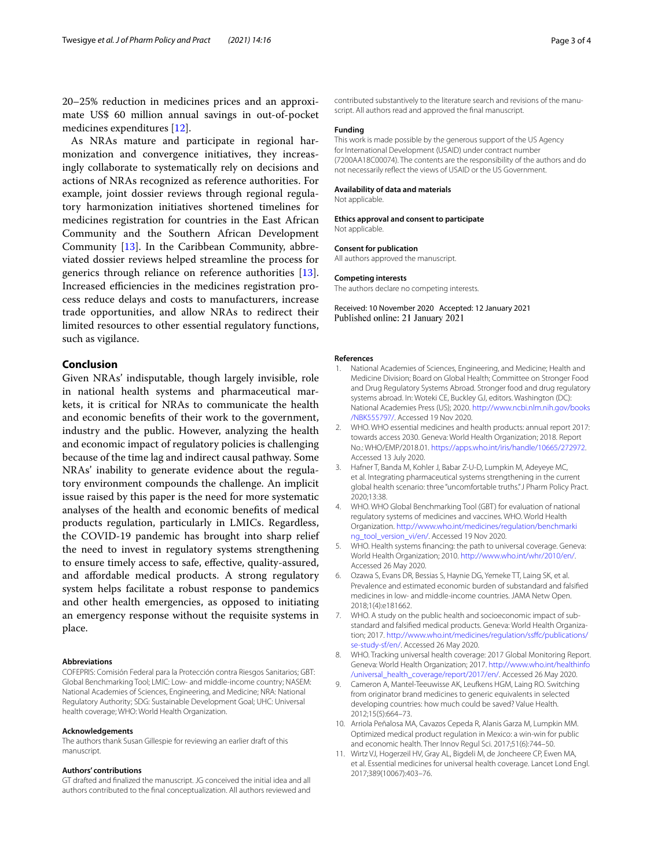20–25% reduction in medicines prices and an approximate US\$ 60 million annual savings in out-of-pocket medicines expenditures [[12\]](#page-3-0).

As NRAs mature and participate in regional harmonization and convergence initiatives, they increasingly collaborate to systematically rely on decisions and actions of NRAs recognized as reference authorities. For example, joint dossier reviews through regional regulatory harmonization initiatives shortened timelines for medicines registration for countries in the East African Community and the Southern African Development Community [\[13](#page-3-1)]. In the Caribbean Community, abbreviated dossier reviews helped streamline the process for generics through reliance on reference authorities [\[13](#page-3-1)]. Increased efficiencies in the medicines registration process reduce delays and costs to manufacturers, increase trade opportunities, and allow NRAs to redirect their limited resources to other essential regulatory functions, such as vigilance.

## **Conclusion**

Given NRAs' indisputable, though largely invisible, role in national health systems and pharmaceutical markets, it is critical for NRAs to communicate the health and economic benefts of their work to the government, industry and the public. However, analyzing the health and economic impact of regulatory policies is challenging because of the time lag and indirect causal pathway. Some NRAs' inability to generate evidence about the regulatory environment compounds the challenge. An implicit issue raised by this paper is the need for more systematic analyses of the health and economic benefts of medical products regulation, particularly in LMICs. Regardless, the COVID-19 pandemic has brought into sharp relief the need to invest in regulatory systems strengthening to ensure timely access to safe, efective, quality-assured, and afordable medical products. A strong regulatory system helps facilitate a robust response to pandemics and other health emergencies, as opposed to initiating an emergency response without the requisite systems in place.

#### **Abbreviations**

COFEPRIS: Comisión Federal para la Protección contra Riesgos Sanitarios; GBT: Global Benchmarking Tool; LMIC: Low- and middle-income country; NASEM: National Academies of Sciences, Engineering, and Medicine; NRA: National Regulatory Authority; SDG: Sustainable Development Goal; UHC: Universal health coverage; WHO: World Health Organization.

#### **Acknowledgements**

The authors thank Susan Gillespie for reviewing an earlier draft of this manuscript.

#### **Authors' contributions**

GT drafted and fnalized the manuscript. JG conceived the initial idea and all authors contributed to the fnal conceptualization. All authors reviewed and contributed substantively to the literature search and revisions of the manuscript. All authors read and approved the fnal manuscript.

#### **Funding**

This work is made possible by the generous support of the US Agency for International Development (USAID) under contract number (7200AA18C00074). The contents are the responsibility of the authors and do not necessarily refect the views of USAID or the US Government.

#### **Availability of data and materials**

Not applicable.

#### **Ethics approval and consent to participate** Not applicable.

#### **Consent for publication**

All authors approved the manuscript.

#### **Competing interests**

The authors declare no competing interests.

Received: 10 November 2020 Accepted: 12 January 2021 Published online: 21 January 2021

#### **References**

- <span id="page-2-0"></span>1. National Academies of Sciences, Engineering, and Medicine; Health and Medicine Division; Board on Global Health; Committee on Stronger Food and Drug Regulatory Systems Abroad. Stronger food and drug regulatory systems abroad. In: Woteki CE, Buckley GJ, editors. Washington (DC): National Academies Press (US); 2020. [http://www.ncbi.nlm.nih.gov/books](http://www.ncbi.nlm.nih.gov/books/NBK555797/) [/NBK555797/](http://www.ncbi.nlm.nih.gov/books/NBK555797/). Accessed 19 Nov 2020.
- <span id="page-2-1"></span>2. WHO. WHO essential medicines and health products: annual report 2017: towards access 2030. Geneva: World Health Organization; 2018. Report No.: WHO/EMP/2018.01. [https://apps.who.int/iris/handle/10665/272972.](https://apps.who.int/iris/handle/10665/272972) Accessed 13 July 2020.
- <span id="page-2-2"></span>3. Hafner T, Banda M, Kohler J, Babar Z-U-D, Lumpkin M, Adeyeye MC, et al. Integrating pharmaceutical systems strengthening in the current global health scenario: three "uncomfortable truths." J Pharm Policy Pract. 2020;13:38.
- <span id="page-2-3"></span>4. WHO. WHO Global Benchmarking Tool (GBT) for evaluation of national regulatory systems of medicines and vaccines. WHO. World Health Organization. [http://www.who.int/medicines/regulation/benchmarki](http://www.who.int/medicines/regulation/benchmarking_tool_version_vi/en/) [ng\\_tool\\_version\\_vi/en/](http://www.who.int/medicines/regulation/benchmarking_tool_version_vi/en/). Accessed 19 Nov 2020.
- <span id="page-2-4"></span>5. WHO. Health systems fnancing: the path to universal coverage. Geneva: World Health Organization; 2010. <http://www.who.int/whr/2010/en/>. Accessed 26 May 2020.
- <span id="page-2-5"></span>6. Ozawa S, Evans DR, Bessias S, Haynie DG, Yemeke TT, Laing SK, et al. Prevalence and estimated economic burden of substandard and falsifed medicines in low- and middle-income countries. JAMA Netw Open. 2018;1(4):e181662.
- <span id="page-2-6"></span>7. WHO. A study on the public health and socioeconomic impact of substandard and falsifed medical products. Geneva: World Health Organization; 2017. [http://www.who.int/medicines/regulation/ssfc/publications/](http://www.who.int/medicines/regulation/ssffc/publications/se-study-sf/en/) [se-study-sf/en/.](http://www.who.int/medicines/regulation/ssffc/publications/se-study-sf/en/) Accessed 26 May 2020.
- <span id="page-2-7"></span>8. WHO. Tracking universal health coverage: 2017 Global Monitoring Report. Geneva: World Health Organization; 2017. [http://www.who.int/healthinfo](http://www.who.int/healthinfo/universal_health_coverage/report/2017/en/) [/universal\\_health\\_coverage/report/2017/en/](http://www.who.int/healthinfo/universal_health_coverage/report/2017/en/). Accessed 26 May 2020.
- <span id="page-2-8"></span>9. Cameron A, Mantel-Teeuwisse AK, Leufkens HGM, Laing RO. Switching from originator brand medicines to generic equivalents in selected developing countries: how much could be saved? Value Health. 2012;15(5):664–73.
- <span id="page-2-9"></span>10. Arriola Peñalosa MA, Cavazos Cepeda R, Alanis Garza M, Lumpkin MM. Optimized medical product regulation in Mexico: a win-win for public and economic health. Ther Innov Regul Sci. 2017;51(6):744–50.
- <span id="page-2-10"></span>11. Wirtz VJ, Hogerzeil HV, Gray AL, Bigdeli M, de Joncheere CP, Ewen MA, et al. Essential medicines for universal health coverage. Lancet Lond Engl. 2017;389(10067):403–76.